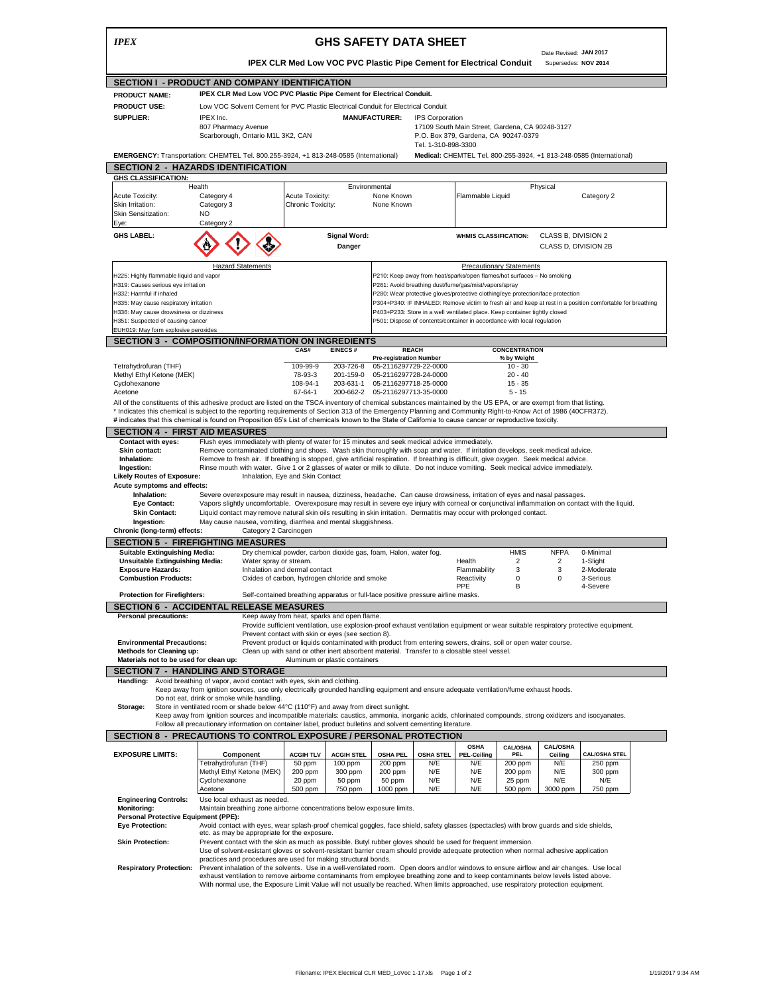| <b>IPEX</b>                                                                  |                                                                                                                                                                                                                                                                                   |                                                                                                                                                                     | <b>GHS SAFETY DATA SHEET</b>                                                                                                                                                             |                                                                                                                                          |                                 |                                                |                         |  |
|------------------------------------------------------------------------------|-----------------------------------------------------------------------------------------------------------------------------------------------------------------------------------------------------------------------------------------------------------------------------------|---------------------------------------------------------------------------------------------------------------------------------------------------------------------|------------------------------------------------------------------------------------------------------------------------------------------------------------------------------------------|------------------------------------------------------------------------------------------------------------------------------------------|---------------------------------|------------------------------------------------|-------------------------|--|
|                                                                              |                                                                                                                                                                                                                                                                                   | <b>IPEX CLR Med Low VOC PVC Plastic Pipe Cement for Electrical Conduit</b>                                                                                          |                                                                                                                                                                                          |                                                                                                                                          |                                 | Date Revised: JAN 2017<br>Supersedes: NOV 2014 |                         |  |
|                                                                              | SECTION I - PRODUCT AND COMPANY IDENTIFICATION                                                                                                                                                                                                                                    |                                                                                                                                                                     |                                                                                                                                                                                          |                                                                                                                                          |                                 |                                                |                         |  |
| <b>PRODUCT NAME:</b>                                                         | IPEX CLR Med Low VOC PVC Plastic Pipe Cement for Electrical Conduit.                                                                                                                                                                                                              |                                                                                                                                                                     |                                                                                                                                                                                          |                                                                                                                                          |                                 |                                                |                         |  |
| <b>PRODUCT USE:</b>                                                          | Low VOC Solvent Cement for PVC Plastic Electrical Conduit for Electrical Conduit                                                                                                                                                                                                  |                                                                                                                                                                     |                                                                                                                                                                                          |                                                                                                                                          |                                 |                                                |                         |  |
| SUPPLIER:                                                                    | IPEX Inc.<br>807 Pharmacy Avenue<br>Scarborough, Ontario M1L 3K2, CAN                                                                                                                                                                                                             |                                                                                                                                                                     | <b>MANUFACTURER:</b>                                                                                                                                                                     | <b>IPS Corporation</b><br>17109 South Main Street, Gardena, CA 90248-3127<br>P.O. Box 379, Gardena, CA 90247-0379<br>Tel. 1-310-898-3300 |                                 |                                                |                         |  |
|                                                                              | EMERGENCY: Transportation: CHEMTEL Tel. 800.255-3924, +1 813-248-0585 (International)                                                                                                                                                                                             |                                                                                                                                                                     |                                                                                                                                                                                          | Medical: CHEMTEL Tel. 800-255-3924, +1 813-248-0585 (International)                                                                      |                                 |                                                |                         |  |
|                                                                              | <b>SECTION 2 - HAZARDS IDENTIFICATION</b>                                                                                                                                                                                                                                         |                                                                                                                                                                     |                                                                                                                                                                                          |                                                                                                                                          |                                 |                                                |                         |  |
| <b>GHS CLASSIFICATION:</b>                                                   |                                                                                                                                                                                                                                                                                   |                                                                                                                                                                     |                                                                                                                                                                                          |                                                                                                                                          |                                 |                                                |                         |  |
| Health                                                                       |                                                                                                                                                                                                                                                                                   |                                                                                                                                                                     | Environmental                                                                                                                                                                            |                                                                                                                                          |                                 | Physical                                       |                         |  |
| Acute Toxicity:<br>Skin Irritation:<br>Skin Sensitization:                   | Category 4<br>Category 3<br><b>NO</b>                                                                                                                                                                                                                                             | Acute Toxicity:<br>Chronic Toxicity:                                                                                                                                | None Known<br>None Known                                                                                                                                                                 | Flammable Liquid                                                                                                                         |                                 |                                                | Category 2              |  |
| Eye:                                                                         | Category 2                                                                                                                                                                                                                                                                        |                                                                                                                                                                     |                                                                                                                                                                                          |                                                                                                                                          |                                 |                                                |                         |  |
| <b>GHS LABEL:</b>                                                            |                                                                                                                                                                                                                                                                                   | <b>Signal Word:</b><br>Danger                                                                                                                                       |                                                                                                                                                                                          | <b>WHMIS CLASSIFICATION:</b>                                                                                                             |                                 | CLASS B, DIVISION 2<br>CLASS D, DIVISION 2B    |                         |  |
|                                                                              | <b>Hazard Statements</b>                                                                                                                                                                                                                                                          |                                                                                                                                                                     |                                                                                                                                                                                          |                                                                                                                                          | <b>Precautionary Statements</b> |                                                |                         |  |
| H225: Highly flammable liquid and vapor                                      |                                                                                                                                                                                                                                                                                   |                                                                                                                                                                     | P210: Keep away from heat/sparks/open flames/hot surfaces - No smoking                                                                                                                   |                                                                                                                                          |                                 |                                                |                         |  |
| H319: Causes serious eye irritation                                          |                                                                                                                                                                                                                                                                                   |                                                                                                                                                                     | P261: Avoid breathing dust/fume/gas/mist/vapors/spray                                                                                                                                    |                                                                                                                                          |                                 |                                                |                         |  |
| H332: Harmful if inhaled                                                     |                                                                                                                                                                                                                                                                                   |                                                                                                                                                                     | P280: Wear protective gloves/protective clothing/eye protection/face protection                                                                                                          |                                                                                                                                          |                                 |                                                |                         |  |
| H335: May cause respiratory irritation                                       |                                                                                                                                                                                                                                                                                   |                                                                                                                                                                     | P304+P340: IF INHALED: Remove victim to fresh air and keep at rest in a position comfortable for breathing<br>P403+P233: Store in a well ventilated place. Keep container tightly closed |                                                                                                                                          |                                 |                                                |                         |  |
| H336: May cause drowsiness or dizziness<br>H351: Suspected of causing cancer |                                                                                                                                                                                                                                                                                   |                                                                                                                                                                     | P501: Dispose of contents/container in accordance with local regulation                                                                                                                  |                                                                                                                                          |                                 |                                                |                         |  |
| EUH019: May form explosive peroxides                                         |                                                                                                                                                                                                                                                                                   |                                                                                                                                                                     |                                                                                                                                                                                          |                                                                                                                                          |                                 |                                                |                         |  |
|                                                                              | <b>SECTION 3 - COMPOSITION/INFORMATION ON INGREDIENTS</b>                                                                                                                                                                                                                         |                                                                                                                                                                     |                                                                                                                                                                                          |                                                                                                                                          |                                 |                                                |                         |  |
|                                                                              |                                                                                                                                                                                                                                                                                   | EINECS#<br>CAS#                                                                                                                                                     | <b>REACH</b>                                                                                                                                                                             |                                                                                                                                          | CONCENTRATION                   |                                                |                         |  |
|                                                                              |                                                                                                                                                                                                                                                                                   |                                                                                                                                                                     | <b>Pre-registration Number</b>                                                                                                                                                           |                                                                                                                                          | % by Weight                     |                                                |                         |  |
| Tetrahydrofuran (THF)                                                        |                                                                                                                                                                                                                                                                                   | 109-99-9<br>203-726-8                                                                                                                                               | 05-2116297729-22-0000                                                                                                                                                                    |                                                                                                                                          | $10 - 30$                       |                                                |                         |  |
| Methyl Ethyl Ketone (MEK)<br>Cyclohexanone                                   |                                                                                                                                                                                                                                                                                   | 78-93-3<br>201-159-0<br>108-94-1<br>203-631-1                                                                                                                       | 05-2116297728-24-0000<br>05-2116297718-25-0000                                                                                                                                           |                                                                                                                                          | $20 - 40$<br>$15 - 35$          |                                                |                         |  |
| Acetone                                                                      |                                                                                                                                                                                                                                                                                   | 67-64-1<br>200-662-2                                                                                                                                                | 05-2116297713-35-0000                                                                                                                                                                    |                                                                                                                                          | $5 - 15$                        |                                                |                         |  |
|                                                                              | All of the constituents of this adhesive product are listed on the TSCA inventory of chemical substances maintained by the US EPA, or are exempt from that listing.                                                                                                               |                                                                                                                                                                     |                                                                                                                                                                                          |                                                                                                                                          |                                 |                                                |                         |  |
|                                                                              | * Indicates this chemical is subject to the reporting requirements of Section 313 of the Emergency Planning and Community Right-to-Know Act of 1986 (40CFR372).                                                                                                                   |                                                                                                                                                                     |                                                                                                                                                                                          |                                                                                                                                          |                                 |                                                |                         |  |
|                                                                              | # indicates that this chemical is found on Proposition 65's List of chemicals known to the State of California to cause cancer or reproductive toxicity.                                                                                                                          |                                                                                                                                                                     |                                                                                                                                                                                          |                                                                                                                                          |                                 |                                                |                         |  |
| <b>SECTION 4 - FIRST AID MEASURES</b>                                        |                                                                                                                                                                                                                                                                                   |                                                                                                                                                                     |                                                                                                                                                                                          |                                                                                                                                          |                                 |                                                |                         |  |
| Contact with eyes:<br>Skin contact:                                          | Flush eyes immediately with plenty of water for 15 minutes and seek medical advice immediately.<br>Remove contaminated clothing and shoes. Wash skin thoroughly with soap and water. If irritation develops, seek medical advice.                                                 |                                                                                                                                                                     |                                                                                                                                                                                          |                                                                                                                                          |                                 |                                                |                         |  |
| Inhalation:                                                                  | Remove to fresh air. If breathing is stopped, give artificial respiration. If breathing is difficult, give oxygen. Seek medical advice.                                                                                                                                           |                                                                                                                                                                     |                                                                                                                                                                                          |                                                                                                                                          |                                 |                                                |                         |  |
|                                                                              |                                                                                                                                                                                                                                                                                   |                                                                                                                                                                     |                                                                                                                                                                                          |                                                                                                                                          |                                 |                                                |                         |  |
| Ingestion:                                                                   | Rinse mouth with water. Give 1 or 2 glasses of water or milk to dilute. Do not induce vomiting. Seek medical advice immediately.                                                                                                                                                  |                                                                                                                                                                     |                                                                                                                                                                                          |                                                                                                                                          |                                 |                                                |                         |  |
| <b>Likely Routes of Exposure:</b>                                            |                                                                                                                                                                                                                                                                                   | Inhalation, Eye and Skin Contact                                                                                                                                    |                                                                                                                                                                                          |                                                                                                                                          |                                 |                                                |                         |  |
| Acute symptoms and effects:<br>Inhalation:                                   |                                                                                                                                                                                                                                                                                   |                                                                                                                                                                     |                                                                                                                                                                                          |                                                                                                                                          |                                 |                                                |                         |  |
| <b>Eye Contact:</b>                                                          | Severe overexposure may result in nausea, dizziness, headache. Can cause drowsiness, irritation of eyes and nasal passages.<br>Vapors slightly uncomfortable. Overexposure may result in severe eye injury with corneal or conjunctival inflammation on contact with the liquid.  |                                                                                                                                                                     |                                                                                                                                                                                          |                                                                                                                                          |                                 |                                                |                         |  |
| <b>Skin Contact:</b>                                                         | Liquid contact may remove natural skin oils resulting in skin irritation. Dermatitis may occur with prolonged contact.                                                                                                                                                            |                                                                                                                                                                     |                                                                                                                                                                                          |                                                                                                                                          |                                 |                                                |                         |  |
| Ingestion:                                                                   | May cause nausea, vomiting, diarrhea and mental sluggishness.                                                                                                                                                                                                                     |                                                                                                                                                                     |                                                                                                                                                                                          |                                                                                                                                          |                                 |                                                |                         |  |
| Chronic (long-term) effects:                                                 | Category 2 Carcinogen                                                                                                                                                                                                                                                             |                                                                                                                                                                     |                                                                                                                                                                                          |                                                                                                                                          |                                 |                                                |                         |  |
|                                                                              | <b>SECTION 5 - FIREFIGHTING MEASURES</b>                                                                                                                                                                                                                                          |                                                                                                                                                                     |                                                                                                                                                                                          |                                                                                                                                          |                                 |                                                |                         |  |
| <b>Suitable Extinguishing Media:</b>                                         |                                                                                                                                                                                                                                                                                   | Dry chemical powder, carbon dioxide gas, foam, Halon, water fog.                                                                                                    |                                                                                                                                                                                          |                                                                                                                                          | <b>HMIS</b>                     | <b>NFPA</b>                                    | 0-Minimal               |  |
| <b>Unsuitable Extinguishing Media:</b>                                       | Water spray or stream.                                                                                                                                                                                                                                                            |                                                                                                                                                                     |                                                                                                                                                                                          | Health                                                                                                                                   | 2                               | 2                                              | 1-Slight                |  |
| <b>Exposure Hazards:</b><br><b>Combustion Products:</b>                      |                                                                                                                                                                                                                                                                                   | Inhalation and dermal contact<br>Oxides of carbon, hydrogen chloride and smoke                                                                                      |                                                                                                                                                                                          | Flammability<br>Reactivity                                                                                                               | 3<br>0                          | 3<br>$\mathbf 0$                               | 2-Moderate<br>3-Serious |  |
|                                                                              |                                                                                                                                                                                                                                                                                   |                                                                                                                                                                     |                                                                                                                                                                                          | PPE                                                                                                                                      | R                               |                                                | 4-Severe                |  |
| <b>Protection for Firefighters:</b>                                          |                                                                                                                                                                                                                                                                                   | Self-contained breathing apparatus or full-face positive pressure airline masks.                                                                                    |                                                                                                                                                                                          |                                                                                                                                          |                                 |                                                |                         |  |
|                                                                              | <b>SECTION 6 - ACCIDENTAL RELEASE MEASURES</b>                                                                                                                                                                                                                                    |                                                                                                                                                                     |                                                                                                                                                                                          |                                                                                                                                          |                                 |                                                |                         |  |
| <b>Personal precautions:</b>                                                 |                                                                                                                                                                                                                                                                                   | Keep away from heat, sparks and open flame.                                                                                                                         |                                                                                                                                                                                          |                                                                                                                                          |                                 |                                                |                         |  |
|                                                                              |                                                                                                                                                                                                                                                                                   | Provide sufficient ventilation, use explosion-proof exhaust ventilation equipment or wear suitable respiratory protective equipment.                                |                                                                                                                                                                                          |                                                                                                                                          |                                 |                                                |                         |  |
| <b>Environmental Precautions:</b>                                            |                                                                                                                                                                                                                                                                                   | Prevent contact with skin or eyes (see section 8).<br>Prevent product or liquids contaminated with product from entering sewers, drains, soil or open water course. |                                                                                                                                                                                          |                                                                                                                                          |                                 |                                                |                         |  |
| <b>Methods for Cleaning up:</b>                                              |                                                                                                                                                                                                                                                                                   | Clean up with sand or other inert absorbent material. Transfer to a closable steel vessel.                                                                          |                                                                                                                                                                                          |                                                                                                                                          |                                 |                                                |                         |  |
| Materials not to be used for clean up:                                       |                                                                                                                                                                                                                                                                                   | Aluminum or plastic containers                                                                                                                                      |                                                                                                                                                                                          |                                                                                                                                          |                                 |                                                |                         |  |
|                                                                              | SECTION 7 - HANDLING AND STORAGE                                                                                                                                                                                                                                                  |                                                                                                                                                                     |                                                                                                                                                                                          |                                                                                                                                          |                                 |                                                |                         |  |
| Handling:                                                                    | Avoid breathing of vapor, avoid contact with eyes, skin and clothing.                                                                                                                                                                                                             |                                                                                                                                                                     |                                                                                                                                                                                          |                                                                                                                                          |                                 |                                                |                         |  |
|                                                                              | Keep away from ignition sources, use only electrically grounded handling equipment and ensure adequate ventilation/fume exhaust hoods.                                                                                                                                            |                                                                                                                                                                     |                                                                                                                                                                                          |                                                                                                                                          |                                 |                                                |                         |  |
|                                                                              | Do not eat, drink or smoke while handling.                                                                                                                                                                                                                                        |                                                                                                                                                                     |                                                                                                                                                                                          |                                                                                                                                          |                                 |                                                |                         |  |
| Storage:                                                                     | Store in ventilated room or shade below 44°C (110°F) and away from direct sunlight.<br>Keep away from ignition sources and incompatible materials: caustics, ammonia, inorganic acids, chlorinated compounds, strong oxidizers and isocyanates.                                   |                                                                                                                                                                     |                                                                                                                                                                                          |                                                                                                                                          |                                 |                                                |                         |  |
|                                                                              | Follow all precautionary information on container label, product bulletins and solvent cementing literature.                                                                                                                                                                      |                                                                                                                                                                     |                                                                                                                                                                                          |                                                                                                                                          |                                 |                                                |                         |  |
|                                                                              | SECTION 8 - PRECAUTIONS TO CONTROL EXPOSURE / PERSONAL PROTECTION                                                                                                                                                                                                                 |                                                                                                                                                                     |                                                                                                                                                                                          |                                                                                                                                          |                                 |                                                |                         |  |
|                                                                              |                                                                                                                                                                                                                                                                                   |                                                                                                                                                                     |                                                                                                                                                                                          | <b>OSHA</b>                                                                                                                              | <b>CAL/OSHA</b>                 | <b>CAL/OSHA</b>                                |                         |  |
|                                                                              | Component                                                                                                                                                                                                                                                                         | <b>ACGIH TLV</b><br><b>ACGIH STEL</b>                                                                                                                               | <b>OSHA PEL</b><br><b>OSHA STEL</b>                                                                                                                                                      | <b>PEL-Ceiling</b>                                                                                                                       | PEL                             | Ceiling                                        | <b>CAL/OSHA STEL</b>    |  |
|                                                                              | Tetrahydrofuran (THF)                                                                                                                                                                                                                                                             | 50 ppm<br>100 ppm                                                                                                                                                   | 200 ppm<br>N/E                                                                                                                                                                           | N/E                                                                                                                                      | 200 ppm                         | N/E                                            | 250 ppm                 |  |
|                                                                              | Methyl Ethyl Ketone (MEK)                                                                                                                                                                                                                                                         | 200 ppm<br>300 ppm                                                                                                                                                  | 200 ppm<br>N/E                                                                                                                                                                           | N/E                                                                                                                                      | 200 ppm                         | N/E                                            | 300 ppm                 |  |
|                                                                              | Cyclohexanone<br>Acetone                                                                                                                                                                                                                                                          | 20 ppm<br>50 ppm<br>500 ppm<br>750 ppm                                                                                                                              | 50 ppm<br>N/E<br>1000 ppm<br>N/E                                                                                                                                                         | N/E<br>N/E                                                                                                                               | 25 ppm<br>500 ppm               | N/E<br>3000 ppm                                | N/E<br>750 ppm          |  |
| <b>Engineering Controls:</b>                                                 | Use local exhaust as needed.                                                                                                                                                                                                                                                      |                                                                                                                                                                     |                                                                                                                                                                                          |                                                                                                                                          |                                 |                                                |                         |  |
| <b>Monitoring:</b>                                                           | Maintain breathing zone airborne concentrations below exposure limits.                                                                                                                                                                                                            |                                                                                                                                                                     |                                                                                                                                                                                          |                                                                                                                                          |                                 |                                                |                         |  |
| Personal Protective Equipment (PPE):                                         |                                                                                                                                                                                                                                                                                   |                                                                                                                                                                     |                                                                                                                                                                                          |                                                                                                                                          |                                 |                                                |                         |  |
| <b>EXPOSURE LIMITS:</b><br><b>Eye Protection:</b>                            | Avoid contact with eyes, wear splash-proof chemical goggles, face shield, safety glasses (spectacles) with brow guards and side shields,                                                                                                                                          |                                                                                                                                                                     |                                                                                                                                                                                          |                                                                                                                                          |                                 |                                                |                         |  |
| <b>Skin Protection:</b>                                                      | etc. as may be appropriate for the exposure.                                                                                                                                                                                                                                      |                                                                                                                                                                     |                                                                                                                                                                                          |                                                                                                                                          |                                 |                                                |                         |  |
|                                                                              | Prevent contact with the skin as much as possible. Butyl rubber gloves should be used for frequent immersion.<br>Use of solvent-resistant gloves or solvent-resistant barrier cream should provide adequate protection when normal adhesive application                           |                                                                                                                                                                     |                                                                                                                                                                                          |                                                                                                                                          |                                 |                                                |                         |  |
|                                                                              | practices and procedures are used for making structural bonds.                                                                                                                                                                                                                    |                                                                                                                                                                     |                                                                                                                                                                                          |                                                                                                                                          |                                 |                                                |                         |  |
| <b>Respiratory Protection:</b>                                               | Prevent inhalation of the solvents. Use in a well-ventilated room. Open doors and/or windows to ensure airflow and air changes. Use local<br>exhaust ventilation to remove airborne contaminants from employee breathing zone and to keep contaminants below levels listed above. |                                                                                                                                                                     |                                                                                                                                                                                          |                                                                                                                                          |                                 |                                                |                         |  |